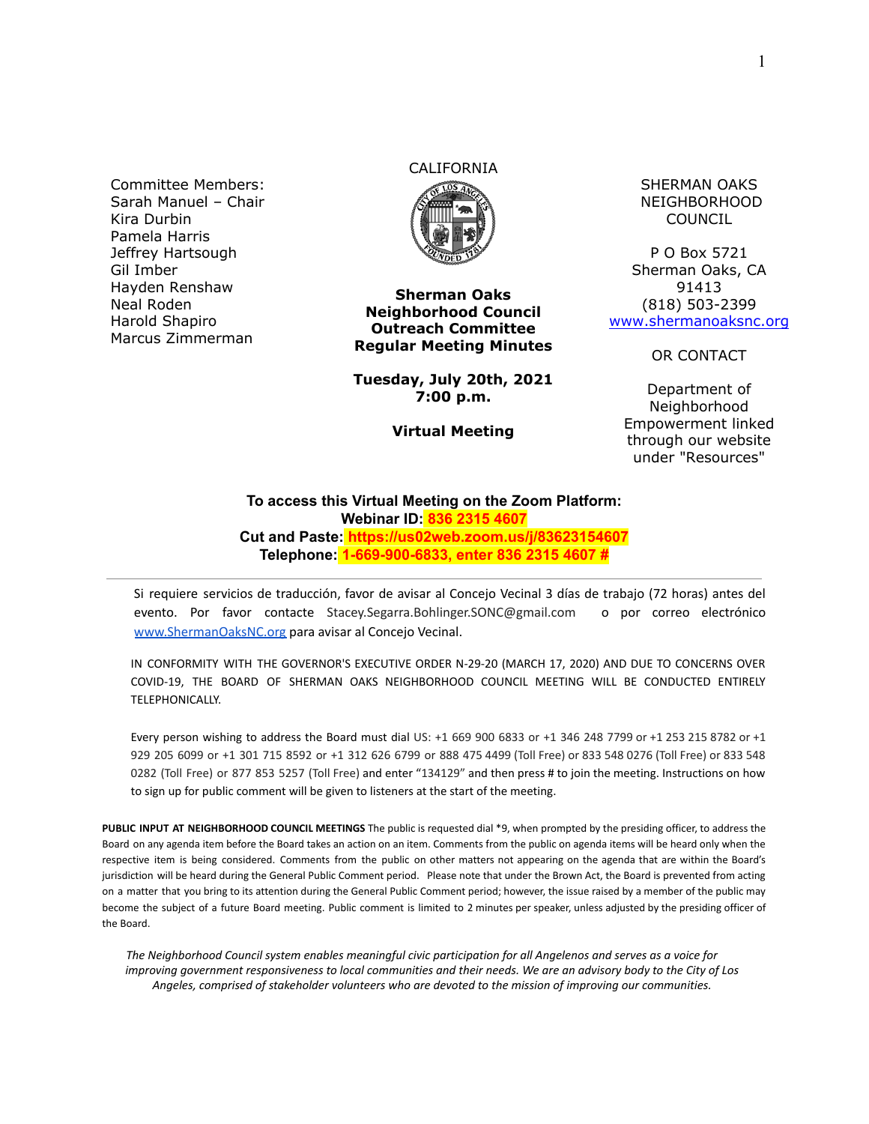Committee Members: Sarah Manuel – Chair Kira Durbin Pamela Harris Jeffrey Hartsough Gil Imber Hayden Renshaw Neal Roden Harold Shapiro Marcus Zimmerman

# CALIFORNIA



**Sherman Oaks Neighborhood Council Outreach Committee Regular Meeting Minutes**

**Tuesday, July 20th, 2021 7:00 p.m.**

**Virtual Meeting**

SHERMAN OAKS NEIGHBORHOOD COUNCIL

P O Box 5721 Sherman Oaks, CA 91413 (818) 503-2399 [www.shermanoaksnc.org](http://www.shermanoaksnc.org/)

OR CONTACT

Department of Neighborhood Empowerment linked through our website under "Resources"

#### **To access this Virtual Meeting on the Zoom Platform: Webinar ID: 836 2315 4607 Cut and Paste: https://us02web.zoom.us/j/83623154607 Telephone: 1-669-900-6833, enter 836 2315 4607 #**

Si requiere servicios de traducción, favor de avisar al Concejo Vecinal 3 días de trabajo (72 horas) antes del evento. Por favor contacte Stacey.Segarra.Bohlinger.SONC@gmail.com o por correo electrónico [www.ShermanOaksNC.org](http://www.shermanoaksnc.org) para avisar al Concejo Vecinal.

IN CONFORMITY WITH THE GOVERNOR'S EXECUTIVE ORDER N-29-20 (MARCH 17, 2020) AND DUE TO CONCERNS OVER COVID-19, THE BOARD OF SHERMAN OAKS NEIGHBORHOOD COUNCIL MEETING WILL BE CONDUCTED ENTIRELY TELEPHONICALLY.

Every person wishing to address the Board must dial US: +1 669 900 6833 or +1 346 248 7799 or +1 253 215 8782 or +1 929 205 6099 or +1 301 715 8592 or +1 312 626 6799 or 888 475 4499 (Toll Free) or 833 548 0276 (Toll Free) or 833 548 0282 (Toll Free) or 877 853 5257 (Toll Free) and enter "134129" and then press # to join the meeting. Instructions on how to sign up for public comment will be given to listeners at the start of the meeting.

**PUBLIC INPUT AT NEIGHBORHOOD COUNCIL MEETINGS** The public is requested dial \*9, when prompted by the presiding officer, to address the Board on any agenda item before the Board takes an action on an item. Comments from the public on agenda items will be heard only when the respective item is being considered. Comments from the public on other matters not appearing on the agenda that are within the Board's jurisdiction will be heard during the General Public Comment period. Please note that under the Brown Act, the Board is prevented from acting on a matter that you bring to its attention during the General Public Comment period; however, the issue raised by a member of the public may become the subject of a future Board meeting. Public comment is limited to 2 minutes per speaker, unless adjusted by the presiding officer of the Board.

*The Neighborhood Council system enables meaningful civic participation for all Angelenos and serves as a voice for improving government responsiveness to local communities and their needs. We are an advisory body to the City of Los Angeles, comprised of stakeholder volunteers who are devoted to the mission of improving our communities.*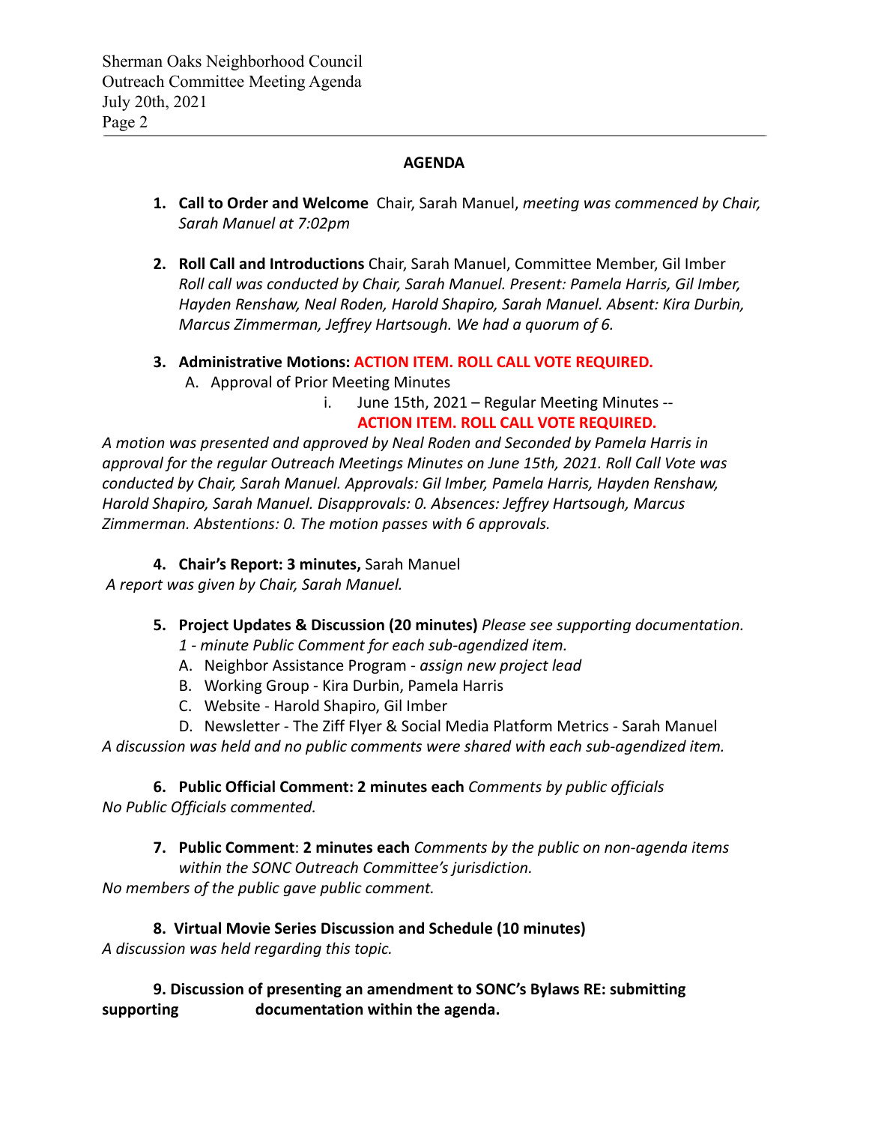# **AGENDA**

- **1. Call to Order and Welcome** Chair, Sarah Manuel, *meeting was commenced by Chair, Sarah Manuel at 7:02pm*
- **2. Roll Call and Introductions** Chair, Sarah Manuel, Committee Member, Gil Imber *Roll call was conducted by Chair, Sarah Manuel. Present: Pamela Harris, Gil Imber, Hayden Renshaw, Neal Roden, Harold Shapiro, Sarah Manuel. Absent: Kira Durbin, Marcus Zimmerman, Jeffrey Hartsough. We had a quorum of 6.*
- **3. Administrative Motions: ACTION ITEM. ROLL CALL VOTE REQUIRED.** A. Approval of Prior Meeting Minutes
	- i. June 15th, 2021 Regular Meeting Minutes -- **ACTION ITEM. ROLL CALL VOTE REQUIRED.**

*A motion was presented and approved by Neal Roden and Seconded by Pamela Harris in approval for the regular Outreach Meetings Minutes on June 15th, 2021. Roll Call Vote was conducted by Chair, Sarah Manuel. Approvals: Gil Imber, Pamela Harris, Hayden Renshaw, Harold Shapiro, Sarah Manuel. Disapprovals: 0. Absences: Jeffrey Hartsough, Marcus Zimmerman. Abstentions: 0. The motion passes with 6 approvals.*

## **4. Chair's Report: 3 minutes,** Sarah Manuel

*A report was given by Chair, Sarah Manuel.*

## **5. Project Updates & Discussion (20 minutes)** *Please see supporting documentation.*

- *1 minute Public Comment for each sub-agendized item.*
- A. Neighbor Assistance Program *assign new project lead*
- B. Working Group Kira Durbin, Pamela Harris
- C. Website Harold Shapiro, Gil Imber

D. Newsletter - The Ziff Flyer & Social Media Platform Metrics - Sarah Manuel *A discussion was held and no public comments were shared with each sub-agendized item.*

**6. Public Official Comment: 2 minutes each** *Comments by public officials No Public Officials commented.*

**7. Public Comment**: **2 minutes each** *Comments by the public on non-agenda items within the SONC Outreach Committee's jurisdiction. No members of the public gave public comment.*

**8. Virtual Movie Series Discussion and Schedule (10 minutes)** *A discussion was held regarding this topic.*

**9. Discussion of presenting an amendment to SONC's Bylaws RE: submitting supporting documentation within the agenda.**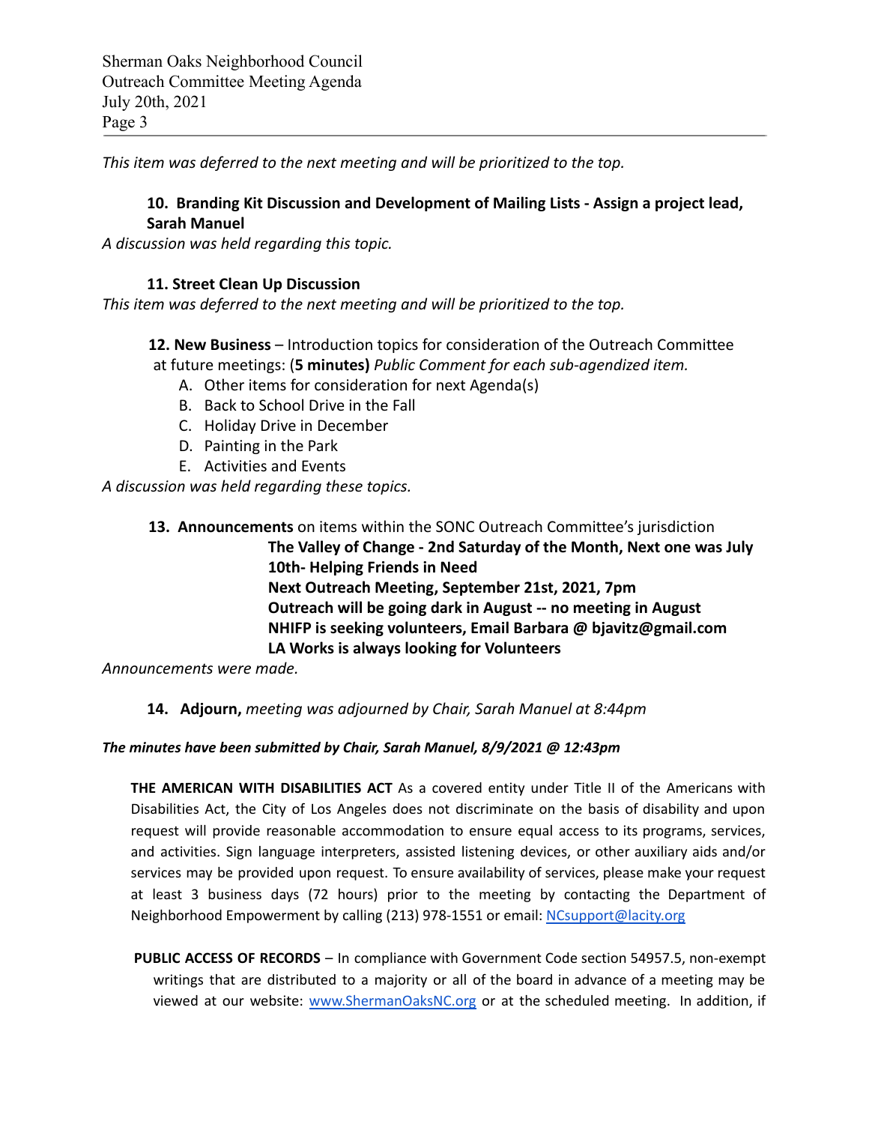Sherman Oaks Neighborhood Council Outreach Committee Meeting Agenda July 20th, 2021 Page 3

*This item was deferred to the next meeting and will be prioritized to the top.*

## **10. Branding Kit Discussion and Development of Mailing Lists - Assign a project lead, Sarah Manuel**

*A discussion was held regarding this topic.*

## **11. Street Clean Up Discussion**

*This item was deferred to the next meeting and will be prioritized to the top.*

**12. New Business** – Introduction topics for consideration of the Outreach Committee at future meetings: (**5 minutes)** *Public Comment for each sub-agendized item.*

- A. Other items for consideration for next Agenda(s)
- B. Back to School Drive in the Fall
- C. Holiday Drive in December
- D. Painting in the Park
- E. Activities and Events

*A discussion was held regarding these topics.*

**13. Announcements** on items within the SONC Outreach Committee's jurisdiction **The Valley of Change - 2nd Saturday of the Month, Next one was July 10th- Helping Friends in Need Next Outreach Meeting, September 21st, 2021, 7pm Outreach will be going dark in August -- no meeting in August NHIFP is seeking volunteers, Email Barbara @ bjavitz@gmail.com LA Works is always looking for Volunteers**

*Announcements were made.*

## **14. Adjourn,** *meeting was adjourned by Chair, Sarah Manuel at 8:44pm*

#### *The minutes have been submitted by Chair, Sarah Manuel, 8/9/2021 @ 12:43pm*

**THE AMERICAN WITH DISABILITIES ACT** As a covered entity under Title II of the Americans with Disabilities Act, the City of Los Angeles does not discriminate on the basis of disability and upon request will provide reasonable accommodation to ensure equal access to its programs, services, and activities. Sign language interpreters, assisted listening devices, or other auxiliary aids and/or services may be provided upon request. To ensure availability of services, please make your request at least 3 business days (72 hours) prior to the meeting by contacting the Department of Neighborhood Empowerment by calling (213) 978-1551 or email: [NCsupport@lacity.org](mailto:NCsupport@lacity.org)

**PUBLIC ACCESS OF RECORDS** – In compliance with Government Code section 54957.5, non-exempt writings that are distributed to a majority or all of the board in advance of a meeting may be viewed at our website: [www.ShermanOaksNC.org](http://www.shermanoaksnc.org) or at the scheduled meeting. In addition, if